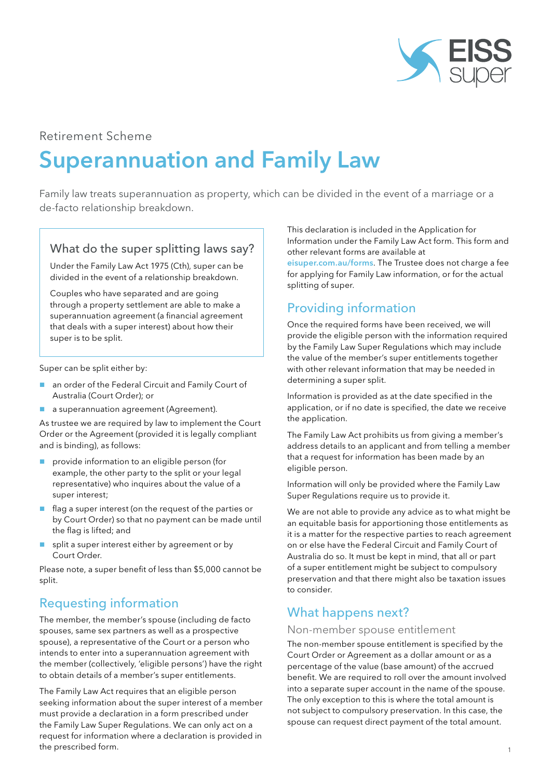

### Retirement Scheme

# Superannuation and Family Law

Family law treats superannuation as property, which can be divided in the event of a marriage or a de-facto relationship breakdown.

#### What do the super splitting laws say?

Under the Family Law Act 1975 (Cth), super can be divided in the event of a relationship breakdown.

Couples who have separated and are going through a property settlement are able to make a superannuation agreement (a financial agreement that deals with a super interest) about how their super is to be split.

Super can be split either by:

- an order of the Federal Circuit and Family Court of Australia (Court Order); or
- **a** a superannuation agreement (Agreement).

As trustee we are required by law to implement the Court Order or the Agreement (provided it is legally compliant and is binding), as follows:

- **P** provide information to an eligible person (for example, the other party to the split or your legal representative) who inquires about the value of a super interest;
- flag a super interest (on the request of the parties or by Court Order) so that no payment can be made until the flag is lifted; and
- $\blacksquare$  split a super interest either by agreement or by Court Order.

Please note, a super benefit of less than \$5,000 cannot be split.

## Requesting information

The member, the member's spouse (including de facto spouses, same sex partners as well as a prospective spouse), a representative of the Court or a person who intends to enter into a superannuation agreement with the member (collectively, 'eligible persons') have the right to obtain details of a member's super entitlements.

The Family Law Act requires that an eligible person seeking information about the super interest of a member must provide a declaration in a form prescribed under the Family Law Super Regulations. We can only act on a request for information where a declaration is provided in the prescribed form.

This declaration is included in the Application for Information under the Family Law Act form. This form and other relevant forms are available at

[eisuper.com.au/forms](https://www.eisuper.com.au/forms). The Trustee does not charge a fee for applying for Family Law information, or for the actual splitting of super.

## Providing information

Once the required forms have been received, we will provide the eligible person with the information required by the Family Law Super Regulations which may include the value of the member's super entitlements together with other relevant information that may be needed in determining a super split.

Information is provided as at the date specified in the application, or if no date is specified, the date we receive the application.

The Family Law Act prohibits us from giving a member's address details to an applicant and from telling a member that a request for information has been made by an eligible person.

Information will only be provided where the Family Law Super Regulations require us to provide it.

We are not able to provide any advice as to what might be an equitable basis for apportioning those entitlements as it is a matter for the respective parties to reach agreement on or else have the Federal Circuit and Family Court of Australia do so. It must be kept in mind, that all or part of a super entitlement might be subject to compulsory preservation and that there might also be taxation issues to consider.

## What happens next?

#### Non-member spouse entitlement

The non-member spouse entitlement is specified by the Court Order or Agreement as a dollar amount or as a percentage of the value (base amount) of the accrued benefit. We are required to roll over the amount involved into a separate super account in the name of the spouse. The only exception to this is where the total amount is not subject to compulsory preservation. In this case, the spouse can request direct payment of the total amount.